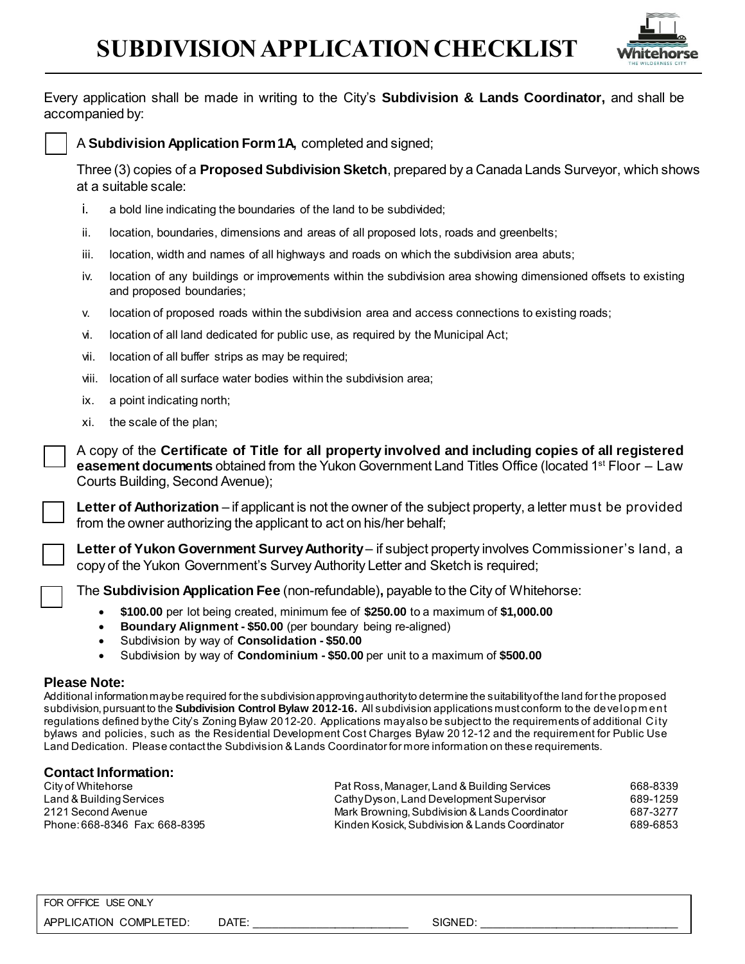## **SUBDIVISION APPLICATION CHECKLIST**



Every application shall be made in writing to the City's **Subdivision & Lands Coordinator,** and shall be accompanied by:



Three (3) copies of a **Proposed Subdivision Sketch**, prepared by a Canada Lands Surveyor, which shows at a suitable scale:

- i. a bold line indicating the boundaries of the land to be subdivided;
- ii. location, boundaries, dimensions and areas of all proposed lots, roads and greenbelts;
- iii. location, width and names of all highways and roads on which the subdivision area abuts;
- iv. location of any buildings or improvements within the subdivision area showing dimensioned offsets to existing and proposed boundaries;
- v. location of proposed roads within the subdivision area and access connections to existing roads;
- vi. location of all land dedicated for public use, as required by the Municipal Act;
- vii. location of all buffer strips as may be required;
- viii. location of all surface water bodies within the subdivision area;
- ix. a point indicating north;
- xi. the scale of the plan;

A copy of the **Certificate of Title for all property involved and including copies of all registered easement documents** obtained from the Yukon Government Land Titles Office (located 1<sup>st</sup> Floor – Law Courts Building, Second Avenue);

**Letter of Authorization** – if applicant is not the owner of the subject property, a letter must be provided from the owner authorizing the applicant to act on his/her behalf;

**Letter of Yukon Government Survey Authority** – if subject property involves Commissioner's land, a copy of the Yukon Government's Survey Authority Letter and Sketch is required;

The **Subdivision Application Fee** (non-refundable)**,** payable to the City of Whitehorse:

- **\$100.00** per lot being created, minimum fee of **\$250.00** to a maximum of **\$1,000.00**
- **Boundary Alignment - \$50.00** (per boundary being re-aligned)
- Subdivision by way of **Consolidation - \$50.00**
- Subdivision by way of **Condominium - \$50.00** per unit to a maximum of **\$500.00**

## **Please Note:**

Additional information may be required for the subdivision approving authority to determine the suitability of the land for the proposed subdivision, pursuant to the **Subdivision Control Bylaw 2012-16.** All subdivision applications must conform to the developm ent regulations defined by the City's Zoning Bylaw 2012-20. Applications may also be subject to the requirements of additional City bylaws and policies, such as the Residential Development Cost Charges Bylaw 2012-12 and the requirement for Public Use Land Dedication. Please contact the Subdivision & Lands Coordinator for more information on these requirements.

## **Contact Information:**

City of Whitehorse Pat Ross, Manager, Land & Building Services 668-8339 Land & BuildingServices Cathy Dyson, Land Development Supervisor 689-1259 2121 Second Avenue Mark Browning, Subdivision & Lands Coordinator 687-3277 Phone: 668-8346 Fax: 668-8395 Kinden Kosick, Subdivision & Lands Coordinator 689-6853

## FOR OFFICE USE ONLY

APPLICATION COMPLETED: DATE: \_\_\_\_\_\_\_\_\_\_\_\_\_\_\_\_\_\_\_\_\_\_\_\_\_ SIGNED: \_\_\_\_\_\_\_\_\_\_\_\_\_\_\_\_\_\_\_\_\_\_\_\_\_\_\_\_\_\_\_\_